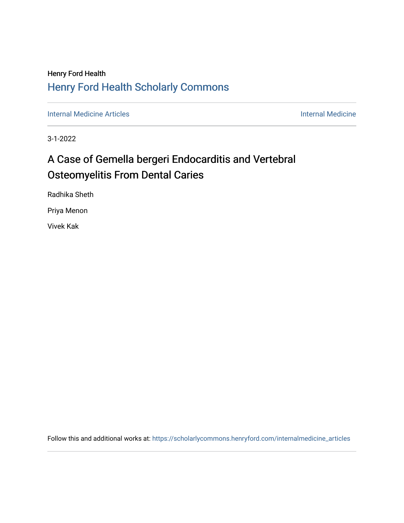## Henry Ford Health [Henry Ford Health Scholarly Commons](https://scholarlycommons.henryford.com/)

[Internal Medicine Articles](https://scholarlycommons.henryford.com/internalmedicine_articles) **Internal Medicine** 

3-1-2022

# A Case of Gemella bergeri Endocarditis and Vertebral Osteomyelitis From Dental Caries

Radhika Sheth

Priya Menon

Vivek Kak

Follow this and additional works at: [https://scholarlycommons.henryford.com/internalmedicine\\_articles](https://scholarlycommons.henryford.com/internalmedicine_articles?utm_source=scholarlycommons.henryford.com%2Finternalmedicine_articles%2F346&utm_medium=PDF&utm_campaign=PDFCoverPages)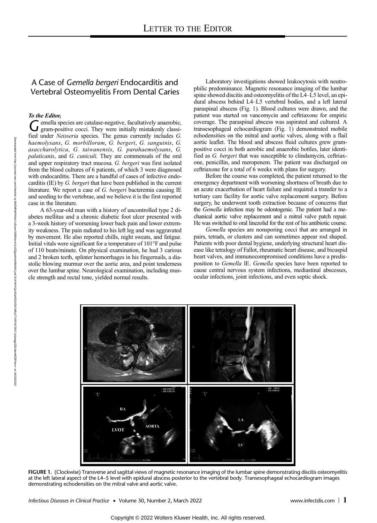## A Case of Gemella bergeri Endocarditis and Vertebral Osteomyelitis From Dental Caries

### To the Editor,

Gemella species are catalase-negative, facultatively anaerobic, gram-positive cocci. They were initially mistakenly classified under *Neisseria* species. The genus currently includes *G.* haemolysans, *G. morbillorum*, *G.* gram-positive cocci. They were initially mistakenly classified under Neisseria species. The genus currently includes G. asaccharolytica, G. taiwanensis, G. parahaemolysans, G. palaticanis, and G. cuniculi. They are commensals of the oral and upper respiratory tract mucosa. G. bergeri was first isolated from the blood cultures of 6 patients, of which 3 were diagnosed with endocarditis. There are a handful of cases of infective endocarditis (IE) by G. bergeri that have been published in the current literature. We report a case of G. bergeri bacteremia causing IE and seeding to the vertebrae, and we believe it is the first reported case in the literature.

A 63-year-old man with a history of uncontrolled type 2 diabetes mellitus and a chronic diabetic foot ulcer presented with a 3-week history of worsening lower back pain and lower extremity weakness. The pain radiated to his left leg and was aggravated by movement. He also reported chills, night sweats, and fatigue. Initial vitals were significant for a temperature of 101°F and pulse of 110 beats/minute. On physical examination, he had 3 carious and 2 broken teeth, splinter hemorrhages in his fingernails, a diastolic blowing murmur over the aortic area, and point tenderness over the lumbar spine. Neurological examination, including muscle strength and rectal tone, yielded normal results.

Laboratory investigations showed leukocytosis with neutrophilic predominance. Magnetic resonance imaging of the lumbar spine showed discitis and osteomyelitis of the L4–L5 level, an epidural abscess behind L4–L5 vertebral bodies, and a left lateral paraspinal abscess (Fig. 1). Blood cultures were drawn, and the patient was started on vancomycin and ceftriaxone for empiric coverage. The paraspinal abscess was aspirated and cultured. A transesophageal echocardiogram (Fig. 1) demonstrated mobile echodensities on the mitral and aortic valves, along with a flail aortic leaflet. The blood and abscess fluid cultures grew grampositive cocci in both aerobic and anaerobic bottles, later identified as G. bergeri that was susceptible to clindamycin, ceftriaxone, penicillin, and meropenem. The patient was discharged on ceftriaxone for a total of 6 weeks with plans for surgery.

Before the course was completed, the patient returned to the emergency department with worsening shortness of breath due to an acute exacerbation of heart failure and required a transfer to a tertiary care facility for aortic valve replacement surgery. Before surgery, he underwent tooth extraction because of concerns that the Gemella infection may be odontogenic. The patient had a mechanical aortic valve replacement and a mitral valve patch repair. He was switched to oral linezolid for the rest of his antibiotic course.

Gemella species are nonsporing cocci that are arranged in pairs, tetrads, or clusters and can sometimes appear rod shaped. Patients with poor dental hygiene, underlying structural heart disease like tetralogy of Fallot, rheumatic heart disease, and bicuspid heart valves, and immunocompromised conditions have a predisposition to Gemella IE. Gemella species have been reported to cause central nervous system infections, mediastinal abscesses, ocular infections, joint infections, and even septic shock.



FIGURE 1. (Clockwise) Transverse and sagittal views of magnetic resonance imaging of the lumbar spine demonstrating discitis osteomyelitis at the left lateral aspect of the L4–5 level with epidural abscess posterior to the vertebral body. Transesophageal echocardiogram images demonstrating echodensities on the mitral valve and aortic valve.